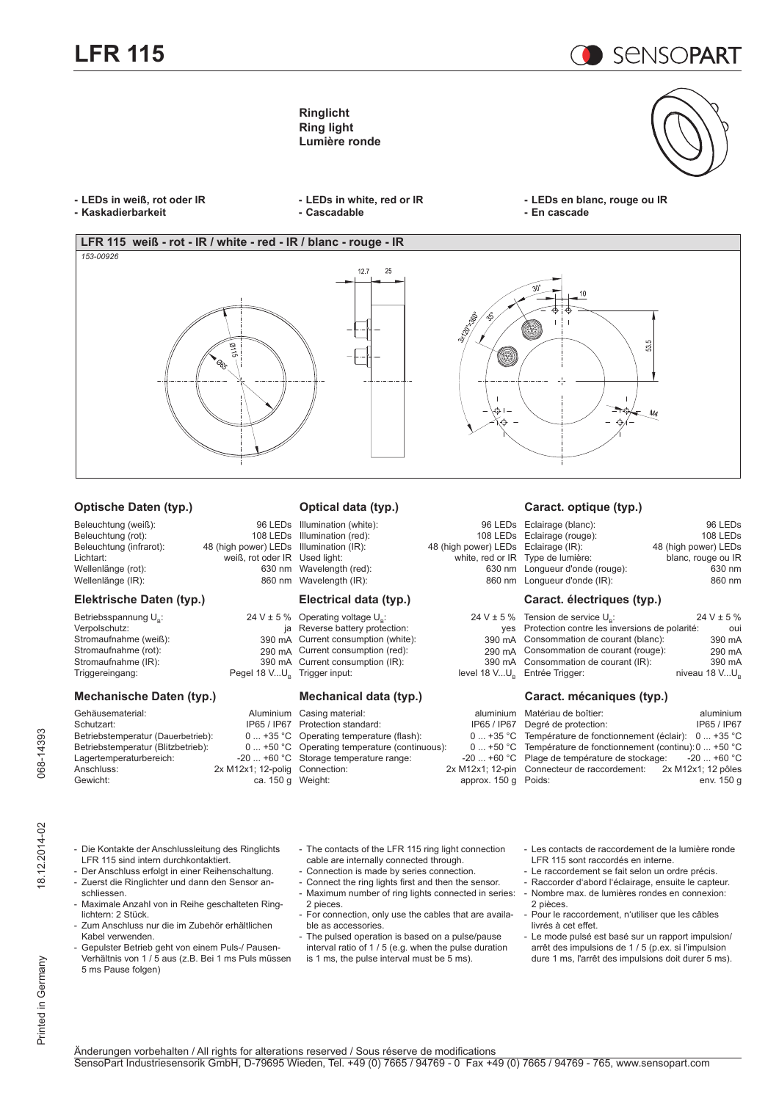**LFR 115** 

**SENSOPART** 

**Ringlicht Ring light Lumière ronde**

- **- LEDs in weiß, rot oder IR**
- **- Kaskadierbarkeit**
- **- LEDs in white, red or IR - Cascadable**
- **- LEDs en blanc, rouge ou IR - En cascade**



### **Optische Daten (typ.)**

#### Beleuchtung (weiß): 96 LEDs<br>Beleuchtung (rot): 108 LEDs Beleuchtung (rot):<br>Beleuchtung (infrarot): Beleuchtung (infrarot): 48 (high power) LEDs<br>
Lichtart: weiß, rot oder IR weiß, rot oder IR<br>630 nm Wellenlänge (rot): 630 nm<br>Wellenlänge (IR): 630 nm Wellenlänge (IR):

#### **Elektrische Daten (typ.)**

| Betriebsspannung U <sub>s</sub> : | $24 V \pm 5 \%$          |
|-----------------------------------|--------------------------|
| Verpolschutz:                     | ia                       |
| Stromaufnahme (weiß):             | 390 mA                   |
| Stromaufnahme (rot):              | 290 mA                   |
| Stromaufnahme (IR):               | 390 mA                   |
| Triggereingang:                   | Pegel 18 VU <sub>p</sub> |

### **Mechanische Daten (typ.)**

| Gehäusematerial:                   | Aluminium          |
|------------------------------------|--------------------|
| Schutzart:                         | IP65 / IP67        |
| Betriebstemperatur (Dauerbetrieb): | $0+35$ °C          |
| Betriebstemperatur (Blitzbetrieb): | $0+50 °C$          |
| Lagertemperaturbereich:            | $-20$ +60 °C       |
| Anschluss:                         | 2x M12x1; 12-polig |
| Gewicht:                           | ca. 150 g          |

## **Optical data (typ.)**

Illumination (white): 96 LI<br>Illumination (red): 108 LI Illumination (red):<br>Illumination (IR): Illumination (IR): 48 (high power) LI<br>Used light: white, red c Wavelength (red): 630<br>Wavelength (IR): 660<br>860 Wavelength  $(IR)$ :

#### **Electrical data (typ.)**

| % Operating voltage U <sub>p</sub> : | $24 V \pm 5 \%$   |
|--------------------------------------|-------------------|
| ja Reverse battery protection:       | ves               |
| A Current consumption (white):       | 390 mA            |
| A Current consumption (red):         | 290 mA            |
| IA Current consumption (IR):         | 390 mA            |
| J <sub>n</sub> Trigger input:        | level 18 $VU_{p}$ |
|                                      |                   |

#### **Mechanical data (typ.)**

| n Casing material:                    | aluminium        |
|---------------------------------------|------------------|
| 7 Protection standard:                | IP65 / IP67      |
| C Operating temperature (flash):      | $0+35 °C$        |
| C Operating temperature (continuous): | $0+50$ °C        |
| C Storage temperature range:          | $-20$ +60 °C     |
| g Connection:                         | 2x M12x1; 12-pin |
| g Weight:                             | approx. 150 g    |
|                                       |                  |

#### **Caract. optique (typ.)**

|                                | 96 LEDs Eclairage (blanc):        | 96 LED <sub>s</sub>  |
|--------------------------------|-----------------------------------|----------------------|
|                                | 108 LEDs Eclairage (rouge):       | 108 LED <sub>s</sub> |
| gh power) LEDs Eclairage (IR): |                                   | 48 (high power) LEDs |
|                                | white, red or IR Type de lumière: | blanc, rouge ou IR   |
|                                | 630 nm Longueur d'onde (rouge):   | 630 nm               |
|                                | 860 nm Lonqueur d'onde (IR):      | 860 nm               |
|                                |                                   |                      |

#### **Caract. électriques (typ.)**

| $V \pm 5 \%$ Tension de service $U_{\circ}$ :     | $24 V \pm 5 \%$ |
|---------------------------------------------------|-----------------|
| yes Protection contre les inversions de polarité: | oui             |
| 390 mA Consommation de courant (blanc):           | 390 mA          |
| 290 mA Consommation de courant (rouge):           | 290 mA          |
| 390 mA Consommation de courant (IR):              | 390 mA          |
| 8 VU <sub>s</sub> Entrée Trigger:                 | niveau 18 VU.   |
|                                                   |                 |

#### **Caract. mécaniques (typ.)**

| um Matériau de boîtier:                               | aluminium   |
|-------------------------------------------------------|-------------|
| 67 Degré de protection:                               | IP65 / IP67 |
| °C Température de fonctionnement (éclair): 0  +35 °C  |             |
| °C Température de fonctionnement (continu): 0  +50 °C |             |
| °C Plage de température de stockage: -20  +60 °C      |             |
| oin Connecteur de raccordement: 2x M12x1; 12 pôles    |             |
| ) a Poids:                                            | env. 150 a  |
|                                                       |             |

- Die Kontakte der Anschlussleitung des Ringlichts LFR 115 sind intern durchkontaktiert.
- Der Anschluss erfolgt in einer Reihenschaltung. - Zuerst die Ringlichter und dann den Sensor anschliessen.
- Maximale Anzahl von in Reihe geschalteten Ringlichtern: 2 Stück.
- Zum Anschluss nur die im Zubehör erhältlichen Kabel verwenden.
- Gepulster Betrieb geht von einem Puls-/ Pausen-Verhältnis von 1 / 5 aus (z.B. Bei 1 ms Puls müssen 5 ms Pause folgen)
- The contacts of the LFR 115 ring light connection cable are internally connected through.
- Connection is made by series connection.
- Connect the ring lights first and then the sensor. Maximum number of ring lights connected in series: 2 pieces.
- For connection, only use the cables that are available as accessories.

The pulsed operation is based on a pulse/pause interval ratio of 1 / 5 (e.g. when the pulse duration is 1 ms, the pulse interval must be 5 ms).

- Les contacts de raccordement de la lumière ronde LFR 115 sont raccordés en interne.
- Le raccordement se fait selon un ordre précis.
- Raccorder d'abord l'éclairage, ensuite le capteur. - Nombre max. de lumières rondes en connexion: 2 pièces.
- Pour le raccordement, n'utiliser que les câbles livrés à cet effet.
- Le mode pulsé est basé sur un rapport impulsion/ arrêt des impulsions de 1 / 5 (p.ex. si l'impulsion dure 1 ms, l'arrêt des impulsions doit durer 5 ms).